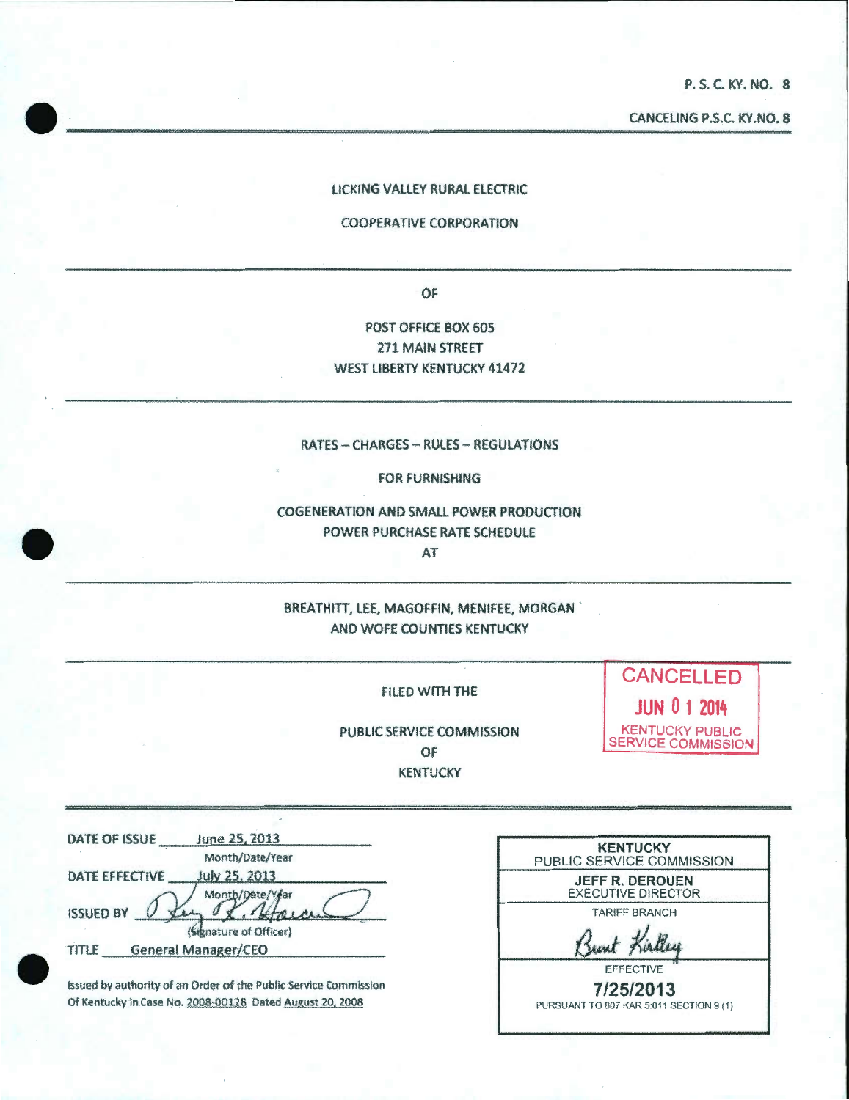P. S. C. KY. NO. 8

CANCEUNG P.S.C. KY.NO. 8  $\text{CANCEING } \text{P.S.C. KY. NO. 8}$ 

#### LICKING VALLEY RURAL ELECTRIC

#### COOPERATIVE CORPORATION

OF

POST OFFICE BOX 605 271 MAIN STREET WEST LIBERTY KENTUCKY 41472

#### RATES - CHARGES - RULES - REGULATIONS

FOR FURNISHING

COGENERATION AND SMALL POWER PRODUCTION POWER PURCHASE RATE SCHEDULE AT

BREATHITT, LEE, MAGOFFIN, MENIFEE, MORGAN AND WOFE COUNTIES KENTUCKY

FILED WITH THE

PUBLIC SERVICE COMMISSION OF **KENTUCKY** 

**CANCELLED JUN 0 1 2014**  KENTUCKY PUBLIC SERVICE COMMISSION

DATE OF ISSUE June 25, 2013 Month/Date/Year DATE EFFECTIVE July 25, 2013 Month/Date/Year <sup>1</sup> *Signature of Officer*<br>TITLE General Manager/CEO<br>
<sup>1</sup> *Comparement* Center **1** (Signature of Officer)  $\begin{array}{c} \n\hline\n\end{array}\n\quad \text{if } \n\begin{array}{c}\n\hline\n\end{array}\n\quad \text{if } \n\begin{array}{c}\n\hline\n\end{array}\n\quad \text{if } \n\begin{array}{c}\n\hline\n\end{array}\n\quad \text{if } \n\begin{array}{c}\n\hline\n\end{array}\n\quad \text{if } \n\hline\n\end{array}\n\quad \text{if } \n\hline\n\end{array}$ 

•

 $\bullet$ 

Issued by authority of an Order of the Public Service Commission Of Kentucky in Case No. 2008·Q0128 Dated August 20, 2008

| <b>KENTUCKY</b><br>PUBLIC SERVICE COMMISSION        |
|-----------------------------------------------------|
| <b>JEFF R. DEROUEN</b><br><b>EXECUTIVE DIRECTOR</b> |
| <b>TARIFF BRANCH</b>                                |
|                                                     |
| <b>EFFECTIVE</b>                                    |
| 7/25/2013                                           |
| PURSUANT TO 807 KAR 5:011 SECTION 9 (1)             |
|                                                     |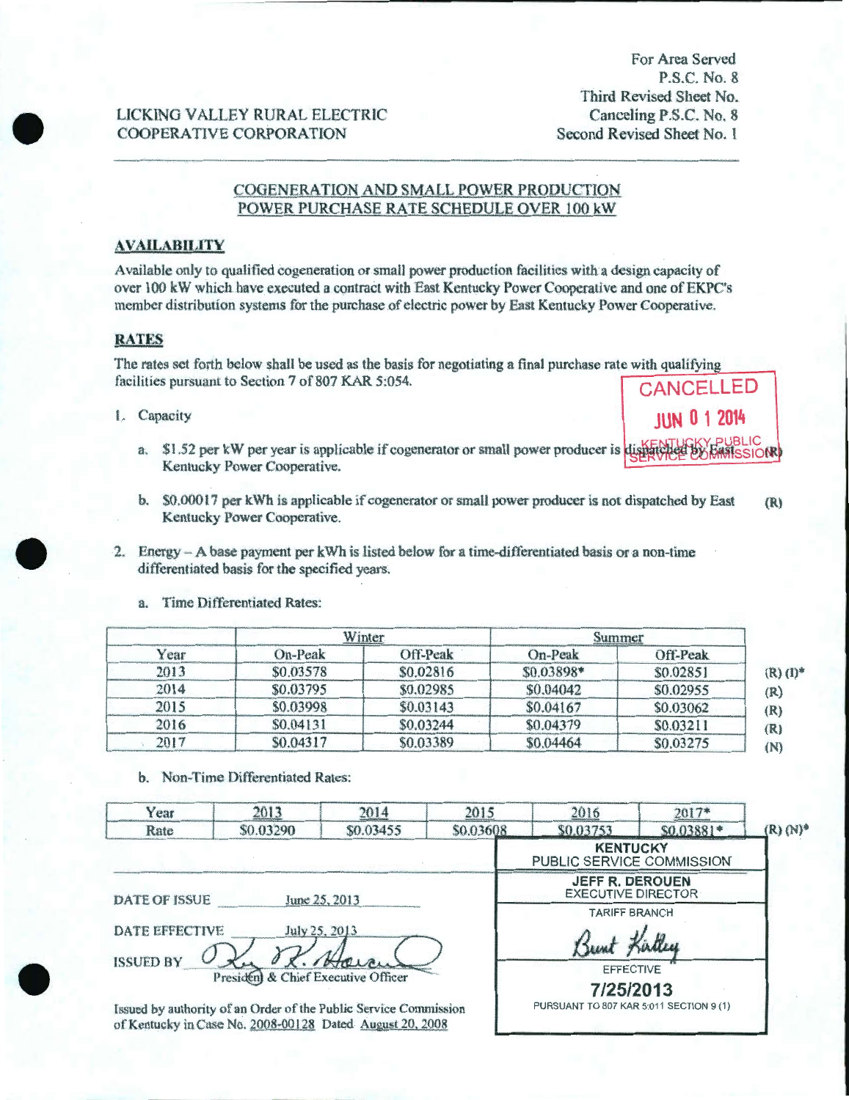For Area Served P.S.C. No. 8 Third Revised Sheet No. Canceling P.S.C. No. 8 Second Revised Sheet No. l

### LICKING VALLEY RURAL ELECTRIC COOPERATIVE CORPORATION

### COGENERATION AND SMALL POWER PRODUCTION POWER PURCHASE RATE SCHEDULE OVER 100 kW

#### **AVAILABILITY**

Available only to qualified cogeneration or small power production facilities with a design capacity of over 100 kW which have executed a contract with East Kentucky Power Cooperative and one of EKPC's member distribution systems for the purchase of electric power by East Kentucky Power Cooperative.

#### **RATES**

•

•

•

The rates set forth below shall be used as the basis for negotiating a final purchase rate with qualifying facilities pursuant to Section 7 of 807 KAR 5:054.

- <sup>l</sup> . Capacity **JUN 0 1 2014** 
	- a. \$1.52 per kW per year is applicable if cogenerator or small power producer is dispatched by  $k$ **SIONE** Kentucky Power Cooperative.
	- b. \$0.00017 per kWh is applicable if cogenerator or small power producer is not dispatched by East (R) Kentucky Power Cooperative .
- 2. Energy  $-A$  base payment per kWh is listed below for a time-differentiated basis or a non-time differentiated basis for the specified years.

| Year |           | Winter.   | Summer     |           |
|------|-----------|-----------|------------|-----------|
|      | On-Peak   | Off-Peak  | On-Peak    | Off-Peak  |
| 2013 | \$0.03578 | \$0.02816 | \$0.03898* | \$0.02851 |
| 2014 | \$0.03795 | \$0.02985 | \$0.04042  | \$0.02955 |
| 2015 | \$0.03998 | \$0.03143 | \$0.04167  | \$0.03062 |
| 2016 | \$0.04131 | \$0.03244 | \$0.04379  | \$0.03211 |
| 2017 | \$0.04317 | \$0.03389 | \$0,04464  | \$0.03275 |

a. Time Differentiated Rates:

b. Non~ Time Differentiated Rates:

| Year                                  | 2013                                | 2014                                                                                                                         | 2015      | 2016                                                | $2017*$    |               |
|---------------------------------------|-------------------------------------|------------------------------------------------------------------------------------------------------------------------------|-----------|-----------------------------------------------------|------------|---------------|
| Rate                                  | \$0.03290                           | \$0.03455                                                                                                                    | \$0.03608 | \$0.03753                                           | \$0,03881* | $(R)$ $(N)^*$ |
|                                       |                                     |                                                                                                                              |           | <b>KENTUCKY</b><br>PUBLIC SERVICE COMMISSION        |            |               |
| <b>DATE OF ISSUE</b><br>June 25, 2013 |                                     |                                                                                                                              |           | <b>JEFF R. DEROUEN</b><br><b>EXECUTIVE DIRECTOR</b> |            |               |
|                                       |                                     |                                                                                                                              |           | <b>TARIFF BRANCH</b>                                |            |               |
| DATE EFFECTIVE<br>July 25, 2013       |                                     |                                                                                                                              |           |                                                     |            |               |
| <b>ISSUED BY</b>                      | President & Chief Executive Officer | Havan                                                                                                                        |           | <b>EFFECTIVE</b><br>7/25/2013                       |            |               |
|                                       |                                     | Issued by authority of an Order of the Public Service Commission<br>of Kentucky in Case No. 2008-00128 Dated August 20, 2008 |           | PURSUANT TO 807 KAR 5:011 SECTION 9 (1)             |            |               |